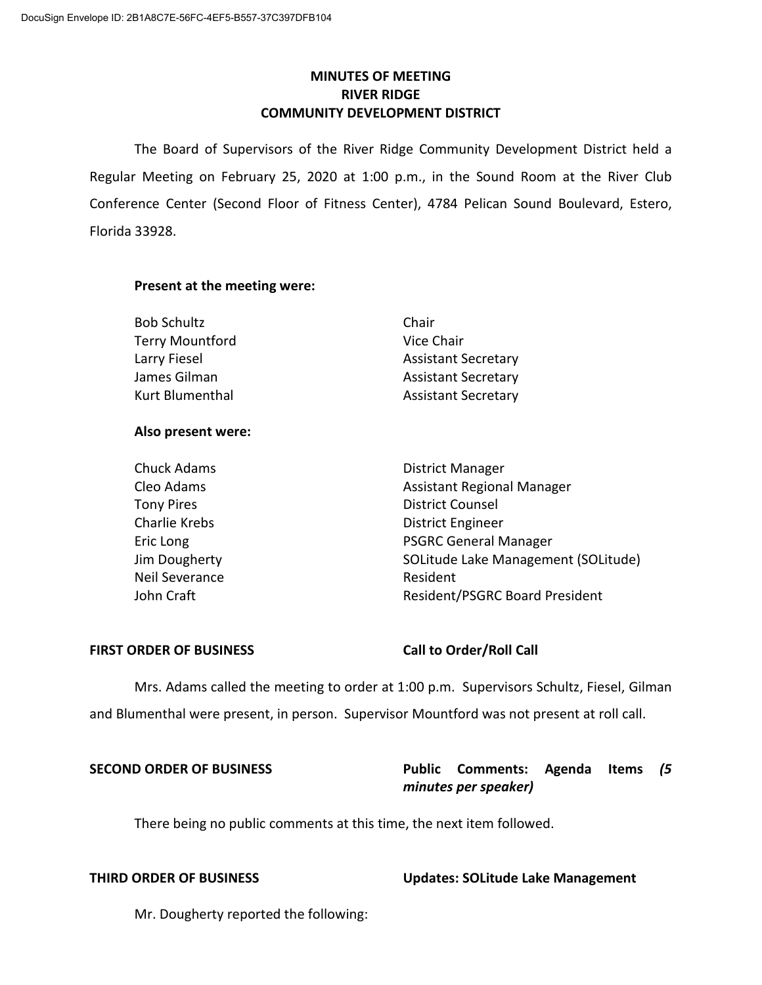# **MINUTES OF MEETING RIVER RIDGE COMMUNITY DEVELOPMENT DISTRICT**

The Board of Supervisors of the River Ridge Community Development District held a Regular Meeting on February 25, 2020 at 1:00 p.m., in the Sound Room at the River Club Conference Center (Second Floor of Fitness Center), 4784 Pelican Sound Boulevard, Estero, Florida 33928.

### **Present at the meeting were:**

| <b>Bob Schultz</b>     | Chair                      |
|------------------------|----------------------------|
| <b>Terry Mountford</b> | Vice Chair                 |
| Larry Fiesel           | <b>Assistant Secretary</b> |
| James Gilman           | <b>Assistant Secretary</b> |
| Kurt Blumenthal        | <b>Assistant Secretary</b> |

## **Also present were:**

| <b>Chuck Adams</b>    | <b>District Manager</b>             |
|-----------------------|-------------------------------------|
| Cleo Adams            | <b>Assistant Regional Manager</b>   |
| <b>Tony Pires</b>     | <b>District Counsel</b>             |
| Charlie Krebs         | <b>District Engineer</b>            |
| Eric Long             | <b>PSGRC General Manager</b>        |
| Jim Dougherty         | SOLitude Lake Management (SOLitude) |
| <b>Neil Severance</b> | Resident                            |
| John Craft            | Resident/PSGRC Board President      |

# **FIRST ORDER OF BUSINESS Call to Order/Roll Call**

Mrs. Adams called the meeting to order at 1:00 p.m. Supervisors Schultz, Fiesel, Gilman and Blumenthal were present, in person. Supervisor Mountford was not present at roll call.

# **SECOND ORDER OF BUSINESS Public Comments: Agenda Items** *(5 minutes per speaker)*

There being no public comments at this time, the next item followed.

**THIRD ORDER OF BUSINESS Updates: SOLitude Lake Management**

Mr. Dougherty reported the following: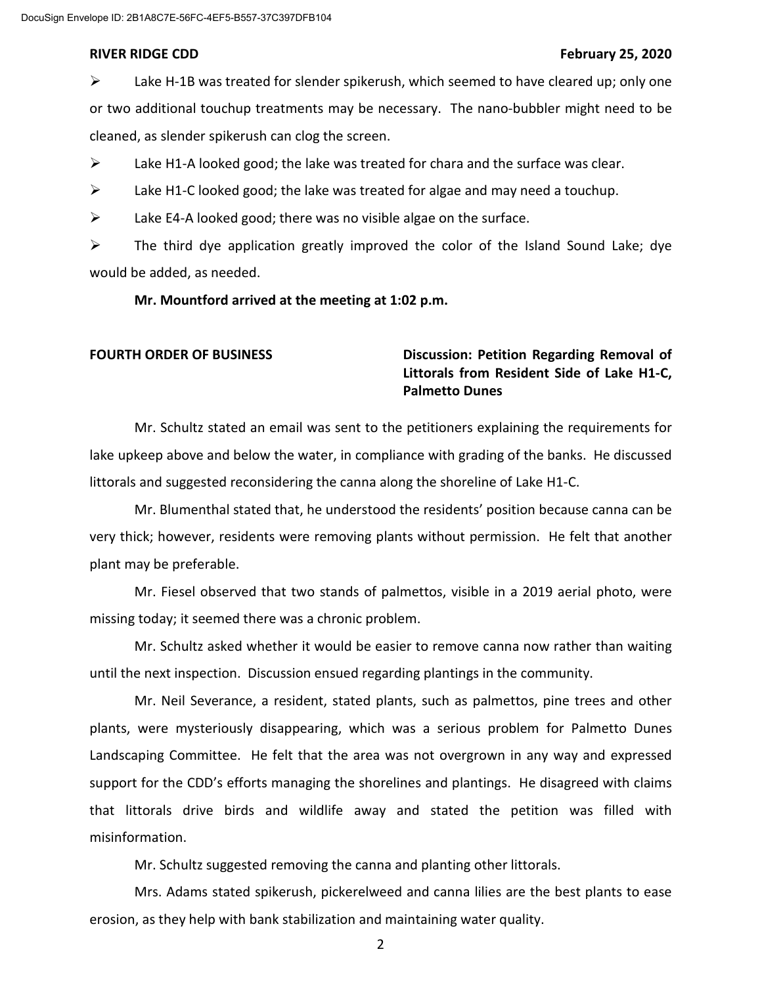### **RIVER RIDGE CDD February 25, 2020**

 $\triangleright$  Lake H-1B was treated for slender spikerush, which seemed to have cleared up; only one or two additional touchup treatments may be necessary. The nano-bubbler might need to be cleaned, as slender spikerush can clog the screen.

 $\triangleright$  Lake H1-A looked good; the lake was treated for chara and the surface was clear.

 $\triangleright$  Lake H1-C looked good; the lake was treated for algae and may need a touchup.

 $\triangleright$  Lake E4-A looked good; there was no visible algae on the surface.

 $\triangleright$  The third dye application greatly improved the color of the Island Sound Lake; dye would be added, as needed.

**Mr. Mountford arrived at the meeting at 1:02 p.m.**

# **FOURTH ORDER OF BUSINESS Discussion: Petition Regarding Removal of Littorals from Resident Side of Lake H1-C, Palmetto Dunes**

Mr. Schultz stated an email was sent to the petitioners explaining the requirements for lake upkeep above and below the water, in compliance with grading of the banks. He discussed littorals and suggested reconsidering the canna along the shoreline of Lake H1-C.

Mr. Blumenthal stated that, he understood the residents' position because canna can be very thick; however, residents were removing plants without permission. He felt that another plant may be preferable.

Mr. Fiesel observed that two stands of palmettos, visible in a 2019 aerial photo, were missing today; it seemed there was a chronic problem.

Mr. Schultz asked whether it would be easier to remove canna now rather than waiting until the next inspection. Discussion ensued regarding plantings in the community.

Mr. Neil Severance, a resident, stated plants, such as palmettos, pine trees and other plants, were mysteriously disappearing, which was a serious problem for Palmetto Dunes Landscaping Committee. He felt that the area was not overgrown in any way and expressed support for the CDD's efforts managing the shorelines and plantings. He disagreed with claims that littorals drive birds and wildlife away and stated the petition was filled with misinformation.

Mr. Schultz suggested removing the canna and planting other littorals.

Mrs. Adams stated spikerush, pickerelweed and canna lilies are the best plants to ease erosion, as they help with bank stabilization and maintaining water quality.

2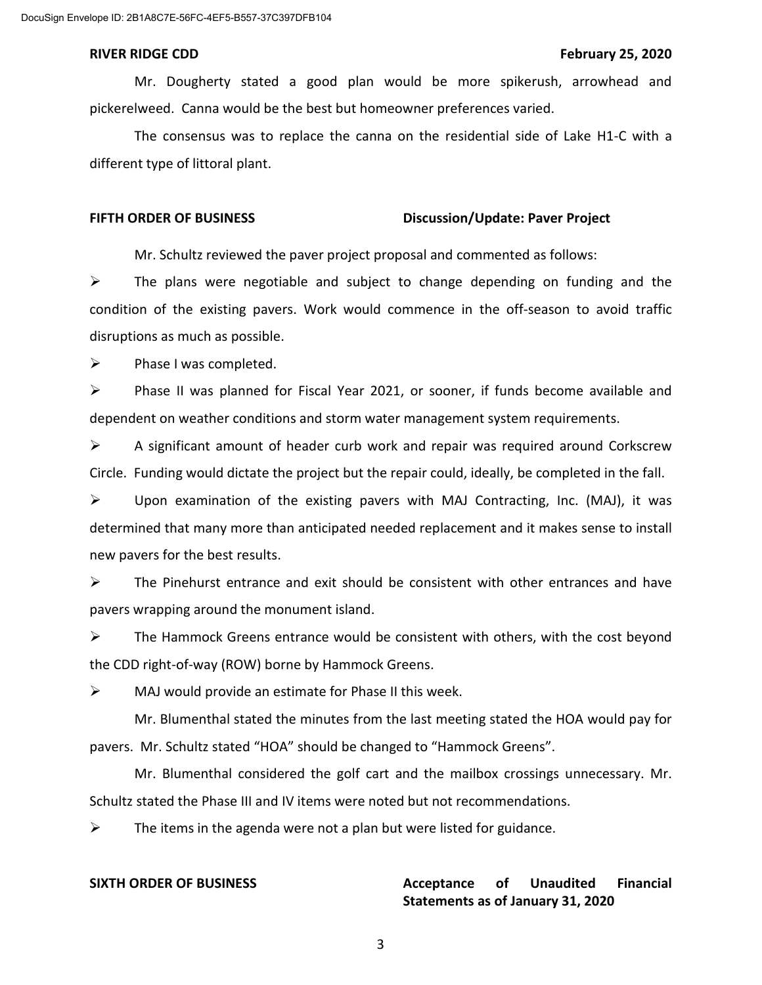Mr. Dougherty stated a good plan would be more spikerush, arrowhead and pickerelweed. Canna would be the best but homeowner preferences varied.

The consensus was to replace the canna on the residential side of Lake H1-C with a different type of littoral plant.

### **FIFTH ORDER OF BUSINESS Discussion/Update: Paver Project**

Mr. Schultz reviewed the paver project proposal and commented as follows:

 $\triangleright$  The plans were negotiable and subject to change depending on funding and the condition of the existing pavers. Work would commence in the off-season to avoid traffic disruptions as much as possible.

 $\triangleright$  Phase I was completed.

 $\triangleright$  Phase II was planned for Fiscal Year 2021, or sooner, if funds become available and dependent on weather conditions and storm water management system requirements.

 $\triangleright$  A significant amount of header curb work and repair was required around Corkscrew Circle. Funding would dictate the project but the repair could, ideally, be completed in the fall.

 $\triangleright$  Upon examination of the existing pavers with MAJ Contracting, Inc. (MAJ), it was determined that many more than anticipated needed replacement and it makes sense to install new pavers for the best results.

 $\triangleright$  The Pinehurst entrance and exit should be consistent with other entrances and have pavers wrapping around the monument island.

 $\triangleright$  The Hammock Greens entrance would be consistent with others, with the cost beyond the CDD right-of-way (ROW) borne by Hammock Greens.

 $\triangleright$  MAJ would provide an estimate for Phase II this week.

Mr. Blumenthal stated the minutes from the last meeting stated the HOA would pay for pavers. Mr. Schultz stated "HOA" should be changed to "Hammock Greens".

Mr. Blumenthal considered the golf cart and the mailbox crossings unnecessary. Mr. Schultz stated the Phase III and IV items were noted but not recommendations.

 $\triangleright$  The items in the agenda were not a plan but were listed for guidance.

## **SIXTH ORDER OF BUSINESS Acceptance of Unaudited Financial Statements as of January 31, 2020**

3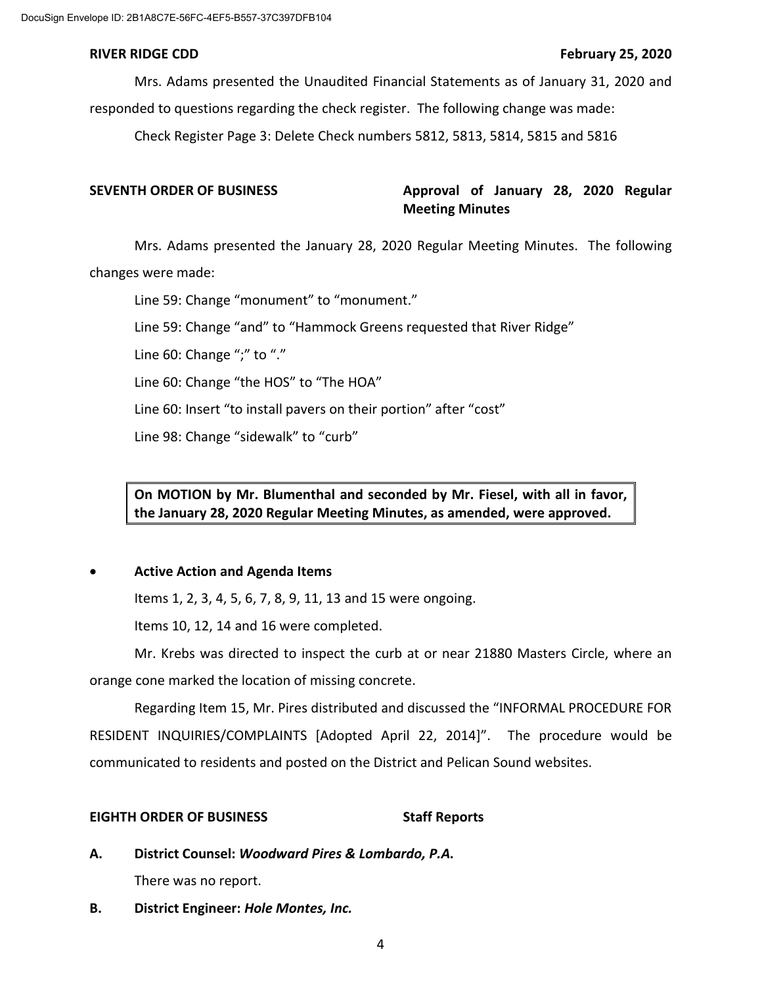### **RIVER RIDGE CDD February 25, 2020**

Mrs. Adams presented the Unaudited Financial Statements as of January 31, 2020 and

responded to questions regarding the check register. The following change was made:

Check Register Page 3: Delete Check numbers 5812, 5813, 5814, 5815 and 5816

# **SEVENTH ORDER OF BUSINESS Approval of January 28, 2020 Regular Meeting Minutes**

Mrs. Adams presented the January 28, 2020 Regular Meeting Minutes. The following changes were made:

Line 59: Change "monument" to "monument." Line 59: Change "and" to "Hammock Greens requested that River Ridge" Line 60: Change ";" to "." Line 60: Change "the HOS" to "The HOA" Line 60: Insert "to install pavers on their portion" after "cost" Line 98: Change "sidewalk" to "curb"

**On MOTION by Mr. Blumenthal and seconded by Mr. Fiesel, with all in favor, the January 28, 2020 Regular Meeting Minutes, as amended, were approved.**

# • **Active Action and Agenda Items**

Items 1, 2, 3, 4, 5, 6, 7, 8, 9, 11, 13 and 15 were ongoing.

Items 10, 12, 14 and 16 were completed.

Mr. Krebs was directed to inspect the curb at or near 21880 Masters Circle, where an orange cone marked the location of missing concrete.

Regarding Item 15, Mr. Pires distributed and discussed the "INFORMAL PROCEDURE FOR RESIDENT INQUIRIES/COMPLAINTS [Adopted April 22, 2014]". The procedure would be communicated to residents and posted on the District and Pelican Sound websites.

### **EIGHTH ORDER OF BUSINESS Staff Reports**

- **A. District Counsel:** *Woodward Pires & Lombardo, P.A.* There was no report.
- **B. District Engineer:** *Hole Montes, Inc.*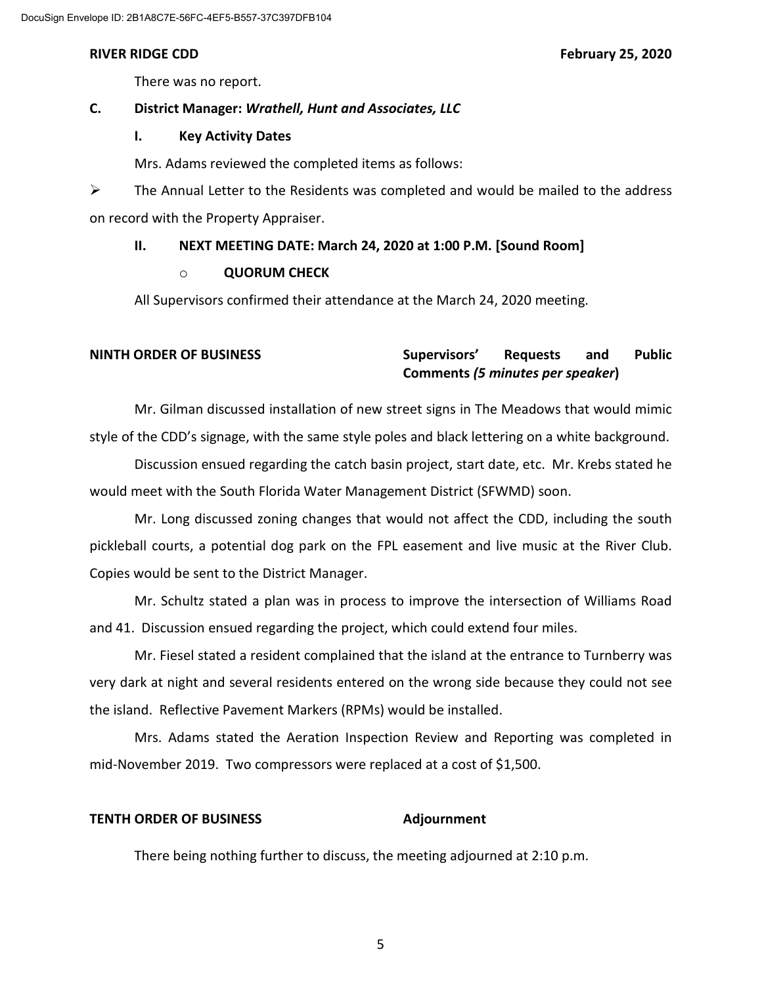There was no report.

### **C. District Manager:** *Wrathell, Hunt and Associates, LLC*

### **I. Key Activity Dates**

Mrs. Adams reviewed the completed items as follows:

 $\triangleright$  The Annual Letter to the Residents was completed and would be mailed to the address on record with the Property Appraiser.

### **II. NEXT MEETING DATE: March 24, 2020 at 1:00 P.M. [Sound Room]**

### o **QUORUM CHECK**

All Supervisors confirmed their attendance at the March 24, 2020 meeting.

# **NINTH ORDER OF BUSINESS Supervisors' Requests and Public Comments** *(5 minutes per speaker***)**

Mr. Gilman discussed installation of new street signs in The Meadows that would mimic style of the CDD's signage, with the same style poles and black lettering on a white background.

Discussion ensued regarding the catch basin project, start date, etc. Mr. Krebs stated he would meet with the South Florida Water Management District (SFWMD) soon.

Mr. Long discussed zoning changes that would not affect the CDD, including the south pickleball courts, a potential dog park on the FPL easement and live music at the River Club. Copies would be sent to the District Manager.

Mr. Schultz stated a plan was in process to improve the intersection of Williams Road and 41. Discussion ensued regarding the project, which could extend four miles.

Mr. Fiesel stated a resident complained that the island at the entrance to Turnberry was very dark at night and several residents entered on the wrong side because they could not see the island. Reflective Pavement Markers (RPMs) would be installed.

Mrs. Adams stated the Aeration Inspection Review and Reporting was completed in mid-November 2019. Two compressors were replaced at a cost of \$1,500.

### **TENTH ORDER OF BUSINESS Adjournment**

There being nothing further to discuss, the meeting adjourned at 2:10 p.m.